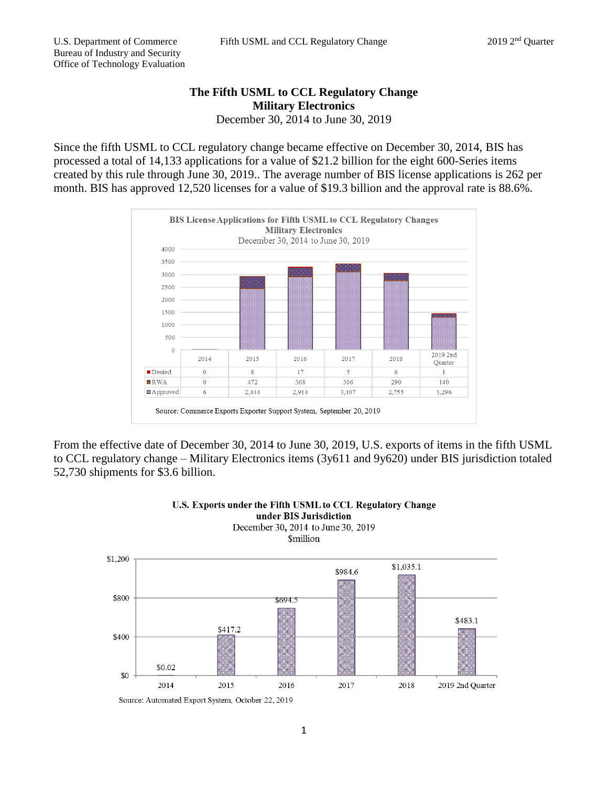## **The Fifth USML to CCL Regulatory Change Military Electronics** December 30, 2014 to June 30, 2019

Since the fifth USML to CCL regulatory change became effective on December 30, 2014, BIS has processed a total of 14,133 applications for a value of \$21.2 billion for the eight 600-Series items created by this rule through June 30, 2019.. The average number of BIS license applications is 262 per month. BIS has approved 12,520 licenses for a value of \$19.3 billion and the approval rate is 88.6%.



From the effective date of December 30, 2014 to June 30, 2019, U.S. exports of items in the fifth USML to CCL regulatory change – Military Electronics items (3y611 and 9y620) under BIS jurisdiction totaled 52,730 shipments for \$3.6 billion.



## U.S. Exports under the Fifth USML to CCL Regulatory Change under BIS Jurisdiction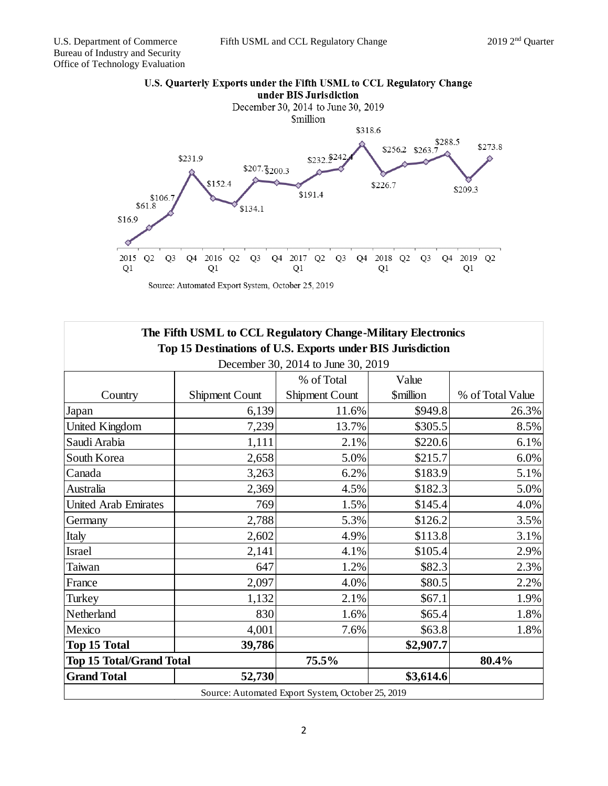

Source: Automated Export System, October 25, 2019

| The Fifth USML to CCL Regulatory Change-Military Electronics |                       |                                                   |                         |                  |
|--------------------------------------------------------------|-----------------------|---------------------------------------------------|-------------------------|------------------|
| Top 15 Destinations of U.S. Exports under BIS Jurisdiction   |                       |                                                   |                         |                  |
| December 30, 2014 to June 30, 2019                           |                       |                                                   |                         |                  |
|                                                              |                       | % of Total                                        | Value                   |                  |
| Country                                                      | <b>Shipment Count</b> | <b>Shipment Count</b>                             | <i><b>\$million</b></i> | % of Total Value |
| Japan                                                        | 6,139                 | 11.6%                                             | \$949.8                 | 26.3%            |
| United Kingdom                                               | 7,239                 | 13.7%                                             | \$305.5                 | 8.5%             |
| Saudi Arabia                                                 | 1,111                 | 2.1%                                              | \$220.6                 | 6.1%             |
| South Korea                                                  | 2,658                 | 5.0%                                              | \$215.7                 | 6.0%             |
| Canada                                                       | 3,263                 | 6.2%                                              | \$183.9                 | 5.1%             |
| Australia                                                    | 2,369                 | 4.5%                                              | \$182.3                 | 5.0%             |
| <b>United Arab Emirates</b>                                  | 769                   | 1.5%                                              | \$145.4                 | 4.0%             |
| Germany                                                      | 2,788                 | 5.3%                                              | \$126.2                 | 3.5%             |
| Italy                                                        | 2,602                 | 4.9%                                              | \$113.8                 | 3.1%             |
| Israel                                                       | 2,141                 | 4.1%                                              | \$105.4                 | 2.9%             |
| Taiwan                                                       | 647                   | 1.2%                                              | \$82.3                  | 2.3%             |
| France                                                       | 2,097                 | 4.0%                                              | \$80.5                  | 2.2%             |
| Turkey                                                       | 1,132                 | 2.1%                                              | \$67.1                  | 1.9%             |
| Netherland                                                   | 830                   | 1.6%                                              | \$65.4                  | 1.8%             |
| Mexico                                                       | 4,001                 | 7.6%                                              | \$63.8                  | 1.8%             |
| <b>Top 15 Total</b>                                          | 39,786                |                                                   | \$2,907.7               |                  |
| <b>Top 15 Total/Grand Total</b>                              |                       | 75.5%                                             |                         | 80.4%            |
| <b>Grand Total</b>                                           | 52,730                |                                                   | \$3,614.6               |                  |
|                                                              |                       | Source: Automated Export System, October 25, 2019 |                         |                  |

## U.S. Quarterly Exports under the Fifth USML to CCL Regulatory Change